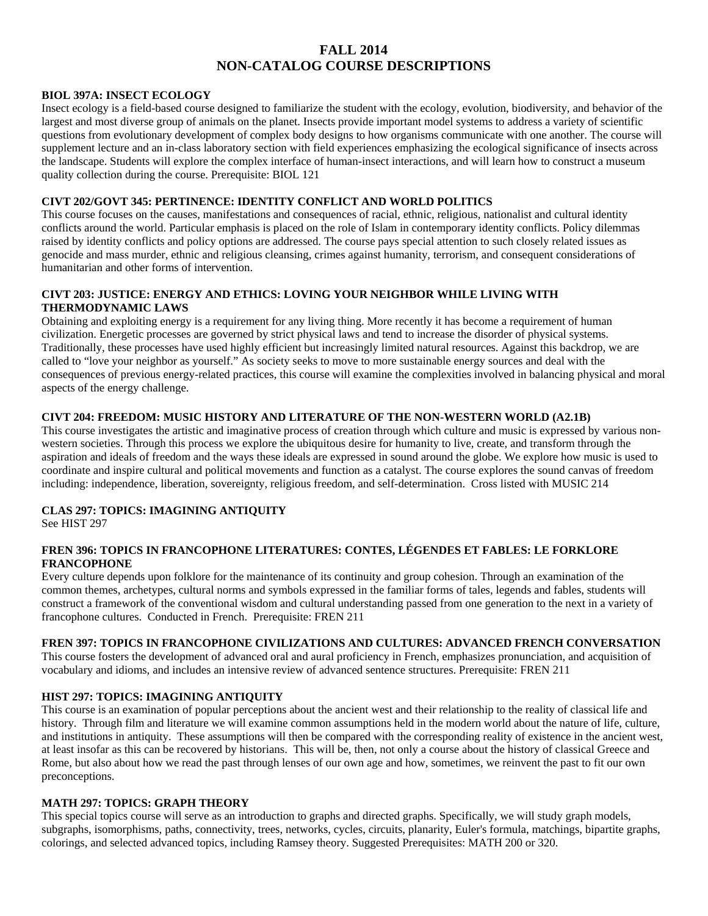# **FALL 2014 NON-CATALOG COURSE DESCRIPTIONS**

#### **BIOL 397A: INSECT ECOLOGY**

Insect ecology is a field-based course designed to familiarize the student with the ecology, evolution, biodiversity, and behavior of the largest and most diverse group of animals on the planet. Insects provide important model systems to address a variety of scientific questions from evolutionary development of complex body designs to how organisms communicate with one another. The course will supplement lecture and an in-class laboratory section with field experiences emphasizing the ecological significance of insects across the landscape. Students will explore the complex interface of human-insect interactions, and will learn how to construct a museum quality collection during the course. Prerequisite: BIOL 121

#### **CIVT 202/GOVT 345: PERTINENCE: IDENTITY CONFLICT AND WORLD POLITICS**

This course focuses on the causes, manifestations and consequences of racial, ethnic, religious, nationalist and cultural identity conflicts around the world. Particular emphasis is placed on the role of Islam in contemporary identity conflicts. Policy dilemmas raised by identity conflicts and policy options are addressed. The course pays special attention to such closely related issues as genocide and mass murder, ethnic and religious cleansing, crimes against humanity, terrorism, and consequent considerations of humanitarian and other forms of intervention.

# **CIVT 203: JUSTICE: ENERGY AND ETHICS: LOVING YOUR NEIGHBOR WHILE LIVING WITH THERMODYNAMIC LAWS**

Obtaining and exploiting energy is a requirement for any living thing. More recently it has become a requirement of human civilization. Energetic processes are governed by strict physical laws and tend to increase the disorder of physical systems. Traditionally, these processes have used highly efficient but increasingly limited natural resources. Against this backdrop, we are called to "love your neighbor as yourself." As society seeks to move to more sustainable energy sources and deal with the consequences of previous energy-related practices, this course will examine the complexities involved in balancing physical and moral aspects of the energy challenge.

#### **CIVT 204: FREEDOM: MUSIC HISTORY AND LITERATURE OF THE NON-WESTERN WORLD (A2.1B)**

This course investigates the artistic and imaginative process of creation through which culture and music is expressed by various nonwestern societies. Through this process we explore the ubiquitous desire for humanity to live, create, and transform through the aspiration and ideals of freedom and the ways these ideals are expressed in sound around the globe. We explore how music is used to coordinate and inspire cultural and political movements and function as a catalyst. The course explores the sound canvas of freedom including: independence, liberation, sovereignty, religious freedom, and self-determination. Cross listed with MUSIC 214

#### **CLAS 297: TOPICS: IMAGINING ANTIQUITY** See HIST 297

#### **FREN 396: TOPICS IN FRANCOPHONE LITERATURES: CONTES, LÉGENDES ET FABLES: LE FORKLORE FRANCOPHONE**

Every culture depends upon folklore for the maintenance of its continuity and group cohesion. Through an examination of the common themes, archetypes, cultural norms and symbols expressed in the familiar forms of tales, legends and fables, students will construct a framework of the conventional wisdom and cultural understanding passed from one generation to the next in a variety of francophone cultures. Conducted in French. Prerequisite: FREN 211

### **FREN 397: TOPICS IN FRANCOPHONE CIVILIZATIONS AND CULTURES: ADVANCED FRENCH CONVERSATION**

This course fosters the development of advanced oral and aural proficiency in French, emphasizes pronunciation, and acquisition of vocabulary and idioms, and includes an intensive review of advanced sentence structures. Prerequisite: FREN 211

#### **HIST 297: TOPICS: IMAGINING ANTIQUITY**

This course is an examination of popular perceptions about the ancient west and their relationship to the reality of classical life and history. Through film and literature we will examine common assumptions held in the modern world about the nature of life, culture, and institutions in antiquity. These assumptions will then be compared with the corresponding reality of existence in the ancient west, at least insofar as this can be recovered by historians. This will be, then, not only a course about the history of classical Greece and Rome, but also about how we read the past through lenses of our own age and how, sometimes, we reinvent the past to fit our own preconceptions.

#### **MATH 297: TOPICS: GRAPH THEORY**

This special topics course will serve as an introduction to graphs and directed graphs. Specifically, we will study graph models, subgraphs, isomorphisms, paths, connectivity, trees, networks, cycles, circuits, planarity, Euler's formula, matchings, bipartite graphs, colorings, and selected advanced topics, including Ramsey theory. Suggested Prerequisites: MATH 200 or 320.